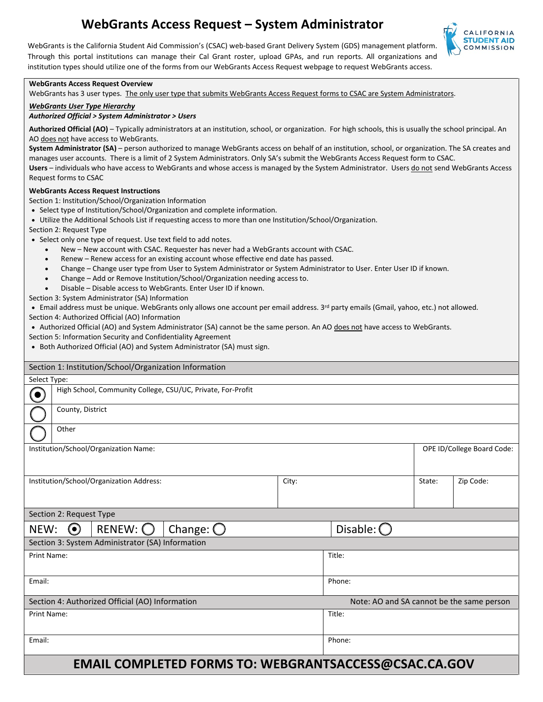# **WebGrants Access Request – System Administrator**



WebGrants is the California Student Aid Commission's (CSAC) web-based Grant Delivery System (GDS) management platform. Through this portal institutions can manage their Cal Grant roster, upload GPAs, and run reports. All organizations and institution types should utilize one of the forms from our WebGrants Access Request webpage to request WebGrants access.

#### **WebGrants Access Request Overview**

WebGrants has 3 user types. The only user type that submits WebGrants Access Request forms to CSAC are System Administrators.

#### *WebGrants User Type Hierarchy*

#### *Authorized Official > System Administrator > Users*

 **Authorized Official (AO)** – Typically administrators at an institution, school, or organization. For high schools, this is usually the school principal. An AO does not have access to WebGrants.

 **System Administrator (SA)** – person authorized to manage WebGrants access on behalf of an institution, school, or organization. The SA creates and gamza<br>form to<br><u>do not</u> manages user accounts. There is a limit of 2 System Administrators. Only SA's submit the WebGrants Access Request form to CSAC. Users – individuals who have access to WebGrants and whose access is managed by the System Administrator. Users do not send WebGrants Access Request forms to CSAC

#### **WebGrants Access Request Instructions**

Section 1: Institution/School/Organization Information

- Select type of Institution/School/Organization and complete information.
- Utilize the Additional Schools List if requesting access to more than one Institution/School/Organization.

Section 2: Request Type

- Select only one type of request. Use text field to add notes.
	- New New account with CSAC. Requester has never had a WebGrants account with CSAC.
	- Renew Renew access for an existing account whose effective end date has passed.
	- Change Change user type from User to System Administrator or System Administrator to User. Enter User ID if known.
	- Change Add or Remove Institution/School/Organization needing access to.
	- Disable Disable access to WebGrants. Enter User ID if known.

Section 3: System Administrator (SA) Information

• Email address must be unique. WebGrants only allows one account per email address. 3<sup>rd</sup> party emails (Gmail, yahoo, etc.) not allowed.

Section 4: Authorized Official (AO) Information

- Authorized Official (AO) and System Administrator (SA) cannot be the same person. An AO does not have access to WebGrants.
- Section 5: Information Security and Confidentiality Agreement
- Both Authorized Official (AO) and System Administrator (SA) must sign.

| Section 1: Institution/School/Organization Information          |                                                             |  |  |  |       |                                           |  |        |           |
|-----------------------------------------------------------------|-------------------------------------------------------------|--|--|--|-------|-------------------------------------------|--|--------|-----------|
| Select Type:                                                    |                                                             |  |  |  |       |                                           |  |        |           |
| $\bullet$                                                       | High School, Community College, CSU/UC, Private, For-Profit |  |  |  |       |                                           |  |        |           |
|                                                                 | County, District                                            |  |  |  |       |                                           |  |        |           |
|                                                                 | Other                                                       |  |  |  |       |                                           |  |        |           |
| Institution/School/Organization Name:                           |                                                             |  |  |  |       | OPE ID/College Board Code:                |  |        |           |
| Institution/School/Organization Address:                        |                                                             |  |  |  | City: |                                           |  | State: | Zip Code: |
| Section 2: Request Type                                         |                                                             |  |  |  |       |                                           |  |        |           |
| $RENEW:$ $\bigcirc$<br>Change: $\bigcirc$<br>$\odot$<br>NEW:    |                                                             |  |  |  |       | Disable: $\bigcirc$                       |  |        |           |
| Section 3: System Administrator (SA) Information                |                                                             |  |  |  |       |                                           |  |        |           |
| Print Name:                                                     |                                                             |  |  |  |       | Title:                                    |  |        |           |
| Email:                                                          |                                                             |  |  |  |       | Phone:                                    |  |        |           |
| Section 4: Authorized Official (AO) Information                 |                                                             |  |  |  |       | Note: AO and SA cannot be the same person |  |        |           |
| Print Name:                                                     |                                                             |  |  |  |       | Title:                                    |  |        |           |
| Email:                                                          |                                                             |  |  |  |       | Phone:                                    |  |        |           |
| <u>ENANI CONADIFTED FODNAC TO, WEDCDANTSACCES QCSAC CALCOVI</u> |                                                             |  |  |  |       |                                           |  |        |           |

# **EMAIL COMPLETED FORMS TO: WEBGRANTSACCESS@CSAC.CA.GOV**